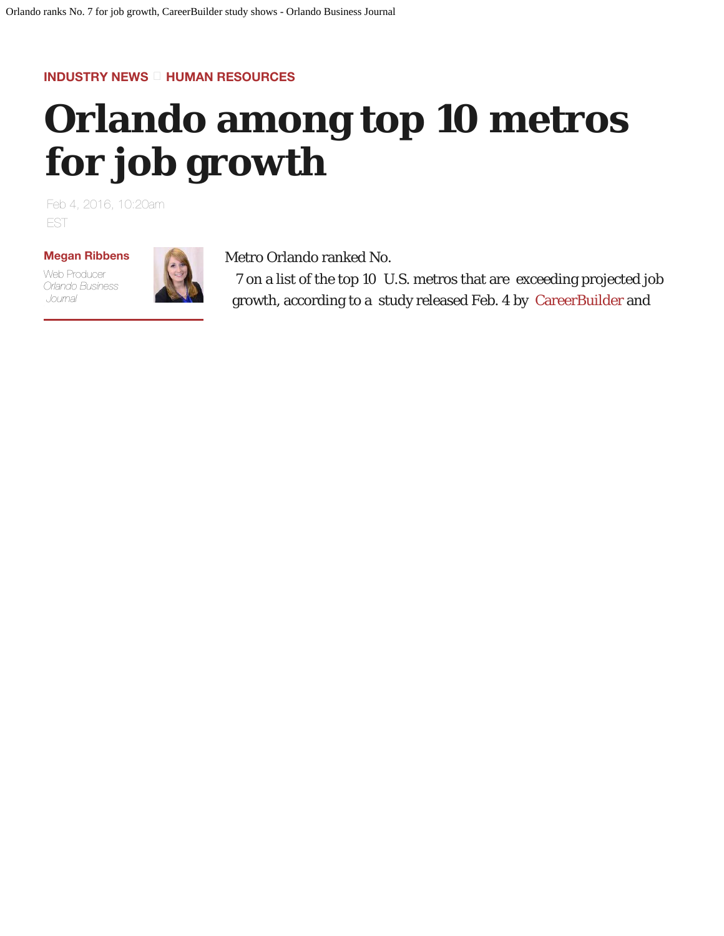## <span id="page-0-0"></span>**INDUSTRY NEWS HUMAN RESOURCES**

## **Orlando among top 10 metros for job growth**

Feb 4, 2016, 10:20am EST

## **Megan Ribbens**

Web Producer *Orlando Business Journal*



Metro Orlando ranked No.

 7 on a list of the top 10 U.S. metros that are exceeding projected job growth, according to a study released Feb. 4 by CareerBuilder and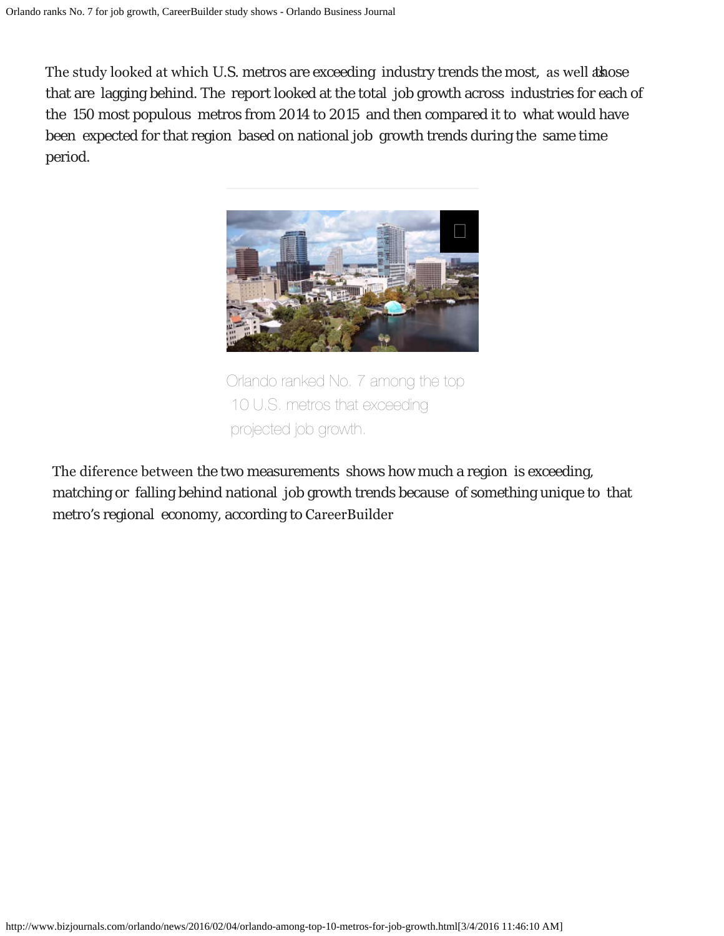The study looked at which U.S. metros are exceeding industry trends the most, as well as those that are lagging behind. The report looked at the total job growth across industries for each of the 150 most populous metros from 2014 to 2015 and then compared it to what would have been expected for that region based on national job growth trends during the same time period.



Orlando ranked No. 7 among the top 10 U.S. metros that exceeding projected job growth.

The diference between the [two measurements shows h](#page-0-0)ow much a region is exceeding, matching or falling behind national job growth trends because of something unique to that metro's regional economy, according to CareerBuilder